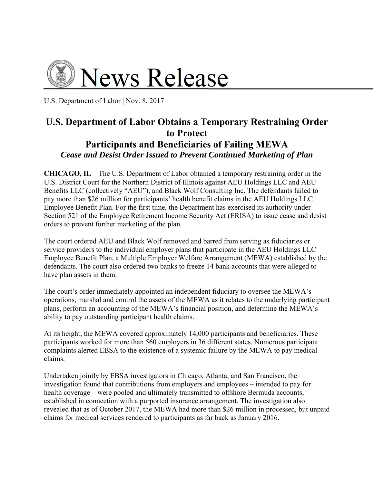

U.S. Department of Labor | Nov. 8, 2017

## **U.S. Department of Labor Obtains a Temporary Restraining Order to Protect Participants and Beneficiaries of Failing MEWA**  *Cease and Desist Order Issued to Prevent Continued Marketing of Plan*

**CHICAGO, IL** – The U.S. Department of Labor obtained a temporary restraining order in the U.S. District Court for the Northern District of Illinois against AEU Holdings LLC and AEU Benefits LLC (collectively "AEU"), and Black Wolf Consulting Inc. The defendants failed to pay more than \$26 million for participants' health benefit claims in the AEU Holdings LLC Employee Benefit Plan. For the first time, the Department has exercised its authority under Section 521 of the Employee Retirement Income Security Act (ERISA) to issue cease and desist orders to prevent further marketing of the plan.

The court ordered AEU and Black Wolf removed and barred from serving as fiduciaries or service providers to the individual employer plans that participate in the AEU Holdings LLC Employee Benefit Plan, a Multiple Employer Welfare Arrangement (MEWA) established by the defendants. The court also ordered two banks to freeze 14 bank accounts that were alleged to have plan assets in them.

The court's order immediately appointed an independent fiduciary to oversee the MEWA's operations, marshal and control the assets of the MEWA as it relates to the underlying participant plans, perform an accounting of the MEWA's financial position, and determine the MEWA's ability to pay outstanding participant health claims.

At its height, the MEWA covered approximately 14,000 participants and beneficiaries. These participants worked for more than 560 employers in 36 different states. Numerous participant complaints alerted EBSA to the existence of a systemic failure by the MEWA to pay medical claims.

Undertaken jointly by EBSA investigators in Chicago, Atlanta, and San Francisco, the investigation found that contributions from employers and employees – intended to pay for health coverage – were pooled and ultimately transmitted to offshore Bermuda accounts, established in connection with a purported insurance arrangement. The investigation also revealed that as of October 2017, the MEWA had more than \$26 million in processed, but unpaid claims for medical services rendered to participants as far back as January 2016.